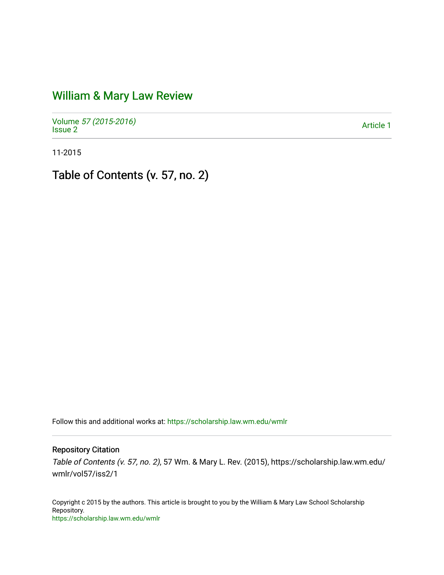## [William & Mary Law Review](https://scholarship.law.wm.edu/wmlr)

Volume [57 \(2015-2016\)](https://scholarship.law.wm.edu/wmlr/vol57)  volume 37 (2013-2010)<br>[Issue 2](https://scholarship.law.wm.edu/wmlr/vol57/iss2) Article 1

11-2015

Table of Contents (v. 57, no. 2)

Follow this and additional works at: [https://scholarship.law.wm.edu/wmlr](https://scholarship.law.wm.edu/wmlr?utm_source=scholarship.law.wm.edu%2Fwmlr%2Fvol57%2Fiss2%2F1&utm_medium=PDF&utm_campaign=PDFCoverPages)

Repository Citation

Table of Contents (v. 57, no. 2), 57 Wm. & Mary L. Rev. (2015), https://scholarship.law.wm.edu/ wmlr/vol57/iss2/1

Copyright c 2015 by the authors. This article is brought to you by the William & Mary Law School Scholarship Repository. <https://scholarship.law.wm.edu/wmlr>